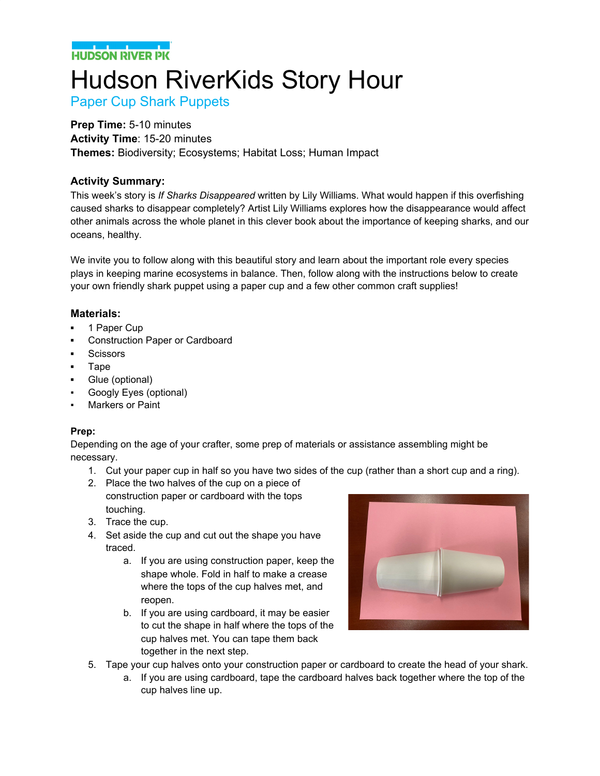**HUDSON RIVER PK** 

# Hudson RiverKids Story Hour

Paper Cup Shark Puppets

#### **Prep Time:** 5-10 minutes

**Activity Time**: 15-20 minutes **Themes:** Biodiversity; Ecosystems; Habitat Loss; Human Impact

### **Activity Summary:**

This week's story is *If Sharks Disappeared* written by Lily Williams. What would happen if this overfishing caused sharks to disappear completely? Artist Lily Williams explores how the disappearance would affect other animals across the whole planet in this clever book about the importance of keeping sharks, and our oceans, healthy.

We invite you to follow along with this beautiful story and learn about the important role every species plays in keeping marine ecosystems in balance. Then, follow along with the instructions below to create your own friendly shark puppet using a paper cup and a few other common craft supplies!

#### **Materials:**

- **▪** 1 Paper Cup
- **▪** Construction Paper or Cardboard
- **▪** Scissors
- **▪** Tape
- **▪** Glue (optional)
- Googly Eyes (optional)
- **Markers or Paint**

#### **Prep:**

Depending on the age of your crafter, some prep of materials or assistance assembling might be necessary.

- 1. Cut your paper cup in half so you have two sides of the cup (rather than a short cup and a ring).
- 2. Place the two halves of the cup on a piece of construction paper or cardboard with the tops touching.
- 3. Trace the cup.
- 4. Set aside the cup and cut out the shape you have traced.
	- a. If you are using construction paper, keep the shape whole. Fold in half to make a crease where the tops of the cup halves met, and reopen.
	- b. If you are using cardboard, it may be easier to cut the shape in half where the tops of the cup halves met. You can tape them back together in the next step.



- 5. Tape your cup halves onto your construction paper or cardboard to create the head of your shark.
	- a. If you are using cardboard, tape the cardboard halves back together where the top of the cup halves line up.